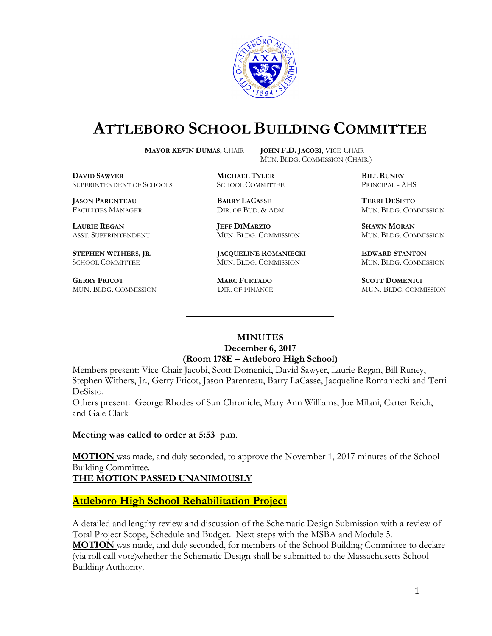

## **ATTLEBORO SCHOOL BUILDING COMMITTEE**

**MAYOR KEVIN DUMAS**, CHAIR **JOHN F.D. JACOBI**, VICE-CHAIR

MUN. BLDG. COMMISSION (CHAIR.)

**DAVID SAWYER MICHAEL TYLER BILL RUNEY** SUPERINTENDENT OF SCHOOLS SCHOOL COMMITTEE PRINCIPAL - AHS

**JASON PARENTEAU BARRY LACASSE TERRI DESISTO**

**GERRY FRICOT MARC FURTADO SCOTT DOMENICI** 

**LAURIE REGAN JEFF DIMARZIO SHAWN MORAN**

**STEPHEN WITHERS, JR. JACQUELINE ROMANIECKI EDWARD STANTON** SCHOOL COMMITTEE MUN. BLDG. COMMISSION MUN. BLDG. COMMISSION

FACILITIES MANAGER DIR. OF BUD. & ADM. MUN. BLDG. COMMISSION

ASST. SUPERINTENDENT MUN. BLDG. COMMISSION MUN. BLDG. COMMISSION

MUN. BLDG. COMMISSION DIR. OF FINANCE MUN. BLDG. COMMISSION

## **MINUTES December 6, 2017 (Room 178E – Attleboro High School)**

\_\_\_\_\_\_\_\_\_\_\_\_\_\_\_\_\_\_\_\_\_\_\_\_\_\_\_\_\_\_\_\_\_\_\_\_\_

Members present: Vice-Chair Jacobi, Scott Domenici, David Sawyer, Laurie Regan, Bill Runey, Stephen Withers, Jr., Gerry Fricot, Jason Parenteau, Barry LaCasse, Jacqueline Romaniecki and Terri DeSisto.

Others present: George Rhodes of Sun Chronicle, Mary Ann Williams, Joe Milani, Carter Reich, and Gale Clark

**Meeting was called to order at 5:53 p.m**.

**MOTION** was made, and duly seconded, to approve the November 1, 2017 minutes of the School Building Committee.

**THE MOTION PASSED UNANIMOUSLY**

**Attleboro High School Rehabilitation Project**

A detailed and lengthy review and discussion of the Schematic Design Submission with a review of Total Project Scope, Schedule and Budget. Next steps with the MSBA and Module 5. **MOTION** was made, and duly seconded, for members of the School Building Committee to declare (via roll call vote)whether the Schematic Design shall be submitted to the Massachusetts School Building Authority.